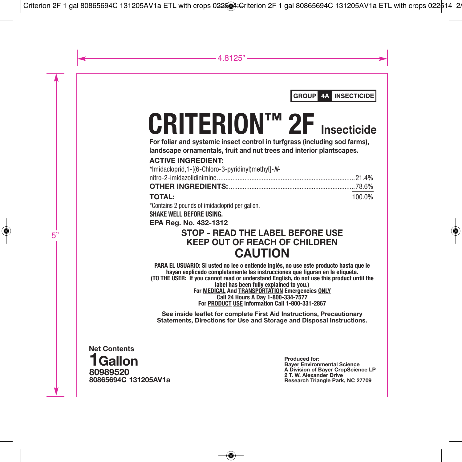|                      |                                                                 | <b>GROUP 4A INSECTICIDE</b>                                                                                                                                                                                                                                                                                                                                                                                                                              |
|----------------------|-----------------------------------------------------------------|----------------------------------------------------------------------------------------------------------------------------------------------------------------------------------------------------------------------------------------------------------------------------------------------------------------------------------------------------------------------------------------------------------------------------------------------------------|
|                      |                                                                 |                                                                                                                                                                                                                                                                                                                                                                                                                                                          |
|                      |                                                                 | <b>CRITERION™ 2F Insecticide</b>                                                                                                                                                                                                                                                                                                                                                                                                                         |
|                      |                                                                 | For foliar and systemic insect control in turfgrass (including sod farms),                                                                                                                                                                                                                                                                                                                                                                               |
|                      |                                                                 | landscape ornamentals, fruit and nut trees and interior plantscapes.                                                                                                                                                                                                                                                                                                                                                                                     |
|                      | <b>ACTIVE INGREDIENT:</b>                                       |                                                                                                                                                                                                                                                                                                                                                                                                                                                          |
|                      | *Imidacloprid,1-[(6-Chloro-3-pyridinyl)methyl]-N-               |                                                                                                                                                                                                                                                                                                                                                                                                                                                          |
|                      |                                                                 |                                                                                                                                                                                                                                                                                                                                                                                                                                                          |
|                      |                                                                 |                                                                                                                                                                                                                                                                                                                                                                                                                                                          |
|                      | <b>TOTAL:</b><br>*Contains 2 pounds of imidacloprid per gallon. | 100.0%                                                                                                                                                                                                                                                                                                                                                                                                                                                   |
|                      | <b>SHAKE WELL BEFORE USING.</b>                                 |                                                                                                                                                                                                                                                                                                                                                                                                                                                          |
|                      | EPA Reg. No. 432-1312                                           |                                                                                                                                                                                                                                                                                                                                                                                                                                                          |
|                      |                                                                 | <b>STOP - READ THE LABEL BEFORE USE</b>                                                                                                                                                                                                                                                                                                                                                                                                                  |
|                      |                                                                 | <b>KEEP OUT OF REACH OF CHILDREN</b>                                                                                                                                                                                                                                                                                                                                                                                                                     |
|                      |                                                                 | <b>CAUTION</b>                                                                                                                                                                                                                                                                                                                                                                                                                                           |
|                      |                                                                 | PARA EL USUARIO: Si usted no lee o entiende inglés, no use este producto hasta que le<br>hayan explicado completamente las instrucciones que figuran en la etiqueta.<br>(TO THE USER: If you cannot read or understand English, do not use this product until the<br>label has been fully explained to you.)<br>For MEDICAL And TRANSPORTATION Emergencies ONLY<br>Call 24 Hours A Day 1-800-334-7577<br>For PRODUCT USE Information Call 1-800-331-2867 |
|                      |                                                                 | See inside leaflet for complete First Aid Instructions, Precautionary<br>Statements, Directions for Use and Storage and Disposal Instructions.                                                                                                                                                                                                                                                                                                           |
| <b>Net Contents</b>  |                                                                 |                                                                                                                                                                                                                                                                                                                                                                                                                                                          |
| Gallon<br>80989520   |                                                                 | Produced for:<br><b>Bayer Environmental Science</b><br>A Division of Bayer CropScience LP<br>2 T. W. Alexander Drive                                                                                                                                                                                                                                                                                                                                     |
| 80865694C 131205AV1a |                                                                 | Research Triangle Park, NC 27709                                                                                                                                                                                                                                                                                                                                                                                                                         |

◈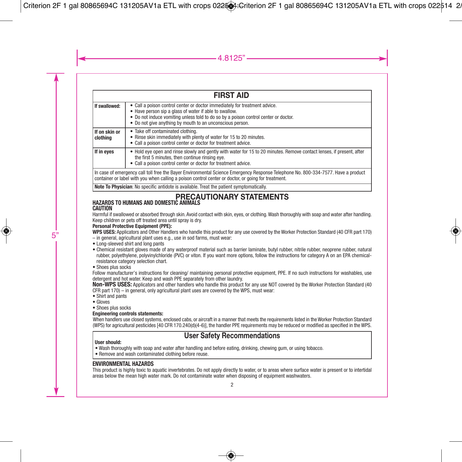$-4.8125"$   $-$ 

| • Call a poison control center or doctor immediately for treatment advice.<br>• Have person sip a glass of water if able to swallow.<br>• Do not induce vomiting unless told to do so by a poison control center or doctor.<br>• Do not give anything by mouth to an unconscious person.<br>• Take off contaminated clothing.<br>• Rinse skin immediately with plenty of water for 15 to 20 minutes.<br>• Call a poison control center or doctor for treatment advice. |
|------------------------------------------------------------------------------------------------------------------------------------------------------------------------------------------------------------------------------------------------------------------------------------------------------------------------------------------------------------------------------------------------------------------------------------------------------------------------|
|                                                                                                                                                                                                                                                                                                                                                                                                                                                                        |
|                                                                                                                                                                                                                                                                                                                                                                                                                                                                        |
| • Hold eye open and rinse slowly and gently with water for 15 to 20 minutes. Remove contact lenses, if present, after<br>the first 5 minutes, then continue rinsing eye.<br>• Call a poison control center or doctor for treatment advice.                                                                                                                                                                                                                             |
| In case of emergency call toll free the Bayer Environmental Science Emergency Response Telephone No. 800-334-7577. Have a product<br>container or label with you when calling a poison control center or doctor, or going for treatment.                                                                                                                                                                                                                               |
| <b>Note To Physician:</b> No specific antidote is available. Treat the patient symptomatically.                                                                                                                                                                                                                                                                                                                                                                        |
| <b>PRECAUTIONARY STATEMENTS</b><br>HAZARDS TO HUMANS AND DOMESTIC ANIMALS<br>Harmful if swallowed or absorbed through skin. Avoid contact with skin, eyes, or clothing. Wash thoroughly with soap and water after handling.<br>Keep children or pets off treated area until spray is dry.<br>Personal Protective Equipment (PPE):                                                                                                                                      |
| WPS USES: Applicators and Other Handlers who handle this product for any use covered by the Worker Protection Standard (40 CFR part 170)                                                                                                                                                                                                                                                                                                                               |

– in general, agricultural plant uses e.g., use in sod farms, must wear:

- Long-sleeved shirt and long pants
- Chemical resistant gloves made of any waterproof material such as barrier laminate, butyl rubber, nitrile rubber, neoprene rubber, natural rubber, polyethylene, polyvinylchloride (PVC) or viton. If you want more options, follow the instructions for category A on an EPA chemicalresistance category selection chart.
- Shoes plus socks

Follow manufacturer's instructions for cleaning/ maintaining personal protective equipment, PPE. If no such instructions for washables, use detergent and hot water. Keep and wash PPE separately from other laundry.

**Non-WPS USES:** Applicators and other handlers who handle this product for any use NOT covered by the Worker Protection Standard (40 CFR part 170) – in general, only agricultural plant uses are covered by the WPS, must wear:

- Shirt and pants
- Gloves

5"

• Shoes plus socks

#### **Engineering controls statements:**

When handlers use closed systems, enclosed cabs, or aircraft in a manner that meets the requirements listed in the Worker Protection Standard (WPS) for agricultural pesticides [40 CFR 170.240(d)(4-6)], the handler PPE requirements may be reduced or modified as specified in the WPS.

# **User Safety Recommendations**

## **User should:**

- Wash thoroughly with soap and water after handling and before eating, drinking, chewing gum, or using tobacco.
- Remove and wash contaminated clothing before reuse.

## **ENVIRONMENTAL HAZARDS**

This product is highly toxic to aquatic invertebrates. Do not apply directly to water, or to areas where surface water is present or to intertidal areas below the mean high water mark. Do not contaminate water when disposing of equipment washwaters.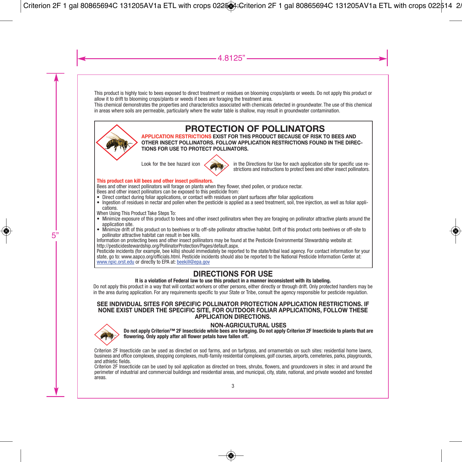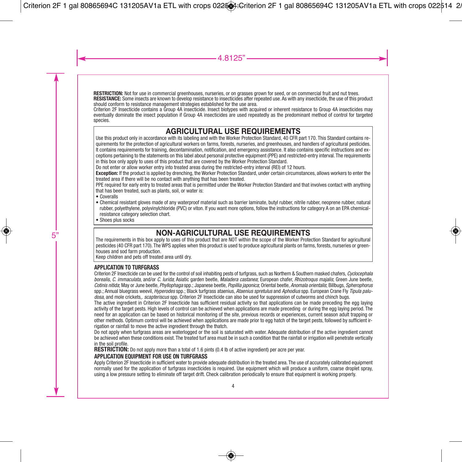**RESTRICTION:** Not for use in commercial greenhouses, nurseries, or on grasses grown for seed, or on commercial fruit and nut trees.<br>**RESISTANCE:** Some insects are known to develop resistance to insecticides after repeated

 $-4.8125"$ 

# **AGRICULTURAL USE REQUIREMENTS**

Use this product only in accordance with its labeling and with the Worker Protection Standard, 40 CFR part 170. This Standard contains requirements for the protection of agricultural workers on farms, forests, nurseries, and greenhouses, and handlers of agricultural pesticides. It contains requirements for training, decontamination, notification, and emergency assistance. It also contains specific instructions and exceptions pertaining to the statements on this label about personal protective equipment (PPE) and restricted-entry interval. The requirements in this box only apply to uses of this product that are covered by the Worker Protection Standard.

Do not enter or allow worker entry into treated areas during the restricted-entry interval (REI) of 12 hours.

**Exception:** If the product is applied by drenching, the Worker Protection Standard, under certain circumstances, allows workers to enter the treated area if there will be no contact with anything that has been treated.

PPE required for early entry to treated areas that is permitted under the Worker Protection Standard and that involves contact with anything that has been treated, such as plants, soil, or water is:

• Coveralls

5"

- Chemical resistant gloves made of any waterproof material such as barrier laminate, butyl rubber, nitrile rubber, neoprene rubber, natural rubber, polyethylene, polyvinylchloride (PVC) or viton. If you want more options, follow the instructions for category A on an EPA chemicalresistance category selection chart.
- Shoes plus socks

# **NON-AGRICULTURAL USE REQUIREMENTS**

The requirements in this box apply to uses of this product that are NOT within the scope of the Worker Protection Standard for agricultural pesticides (40 CFR part 170). The WPS applies when this product is used to produce agricultural plants on farms, forests, nurseries or greenhouses and sod farm production.

Keep children and pets off treated area until dry.

## **APPLICATION TO TURFGRASS**

Criterion 2F Insecticide can be used for the control of soil inhabiting pests of turfgrass, such as Northern & Southern masked chafers, *Cyclocephala borealis*, *C. immaculata*, and/or *C. lurida*; Asiatic garden beetle, *Maladera castanea*; European chafer, *Rhizotroqus majalis*; Green June beetle, *Cotinis nitida*; May or June beetle, *Phyllophaga* spp.; Japanese beetle, *Popillia japonica*; Oriental beetle, *Anomala orientalis*; Billbugs, *Spherophorus* spp.; Annual bluegrass weevil, *Hyperodes* spp.; Black turfgrass ataenius, *Ataenius spretulus* and *Aphodius* spp. European Crane Fly *Tipula paludosa*, and mole crickets,. *scapteriscus* spp. Criterion 2F Insecticide can also be used for suppression of cutworms and chinch bugs.

The active ingredient in Criterion 2F Insecticide has sufficient residual activity so that applications can be made preceding the egg laying activity of the target pests. High levels of control can be achieved when applications are made preceding or during the egg laying period. The need for an application can be based on historical monitoring of the site, previous records or experiences, current season adult trapping or other methods. Optimum control will be achieved when applications are made prior to egg hatch of the target pests, followed by sufficient irrigation or rainfall to move the active ingredient through the thatch.

Do not apply when turfgrass areas are waterlogged or the soil is saturated with water. Adequate distribution of the active ingredient cannot be achieved when these conditions exist. The treated turf area must be in such a condition that the rainfall or irrigation will penetrate vertically in the soil profile.

**RESTRICTION:** Do not apply more than a total of 1.6 pints (0.4 lb of active ingredient) per acre per year.

## **APPLICATION EQUIPMENT FOR USE ON TURFGRASS**

Apply Criterion 2F Insecticide in sufficient water to provide adequate distribution in the treated area. The use of accurately calibrated equipment normally used for the application of turfgrass insecticides is required. Use equipment which will produce a uniform, coarse droplet spray, using a low pressure setting to eliminate off target drift. Check calibration periodically to ensure that equipment is working properly.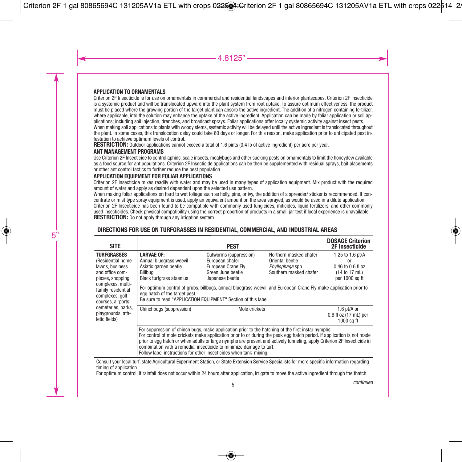# **APPLICATION TO ORNAMENTALS**

Criterion 2F Insecticide is for use on ornamentals in commercial and residential landscapes and interior plantscapes. Criterion 2F Insecticide is a systemic product and will be translocated upward into the plant system from root uptake. To assure optimum effectiveness, the product must be placed where the growing portion of the target plant can absorb the active ingredient. The addition of a nitrogen containing fertilizer, where applicable, into the solution may enhance the uptake of the active ingredient. Application can be made by foliar application or soil applications; including soil injection, drenches, and broadcast sprays. Foliar applications offer locally systemic activity against insect pests. When making soil applications to plants with woody stems, systemic activity will be delayed until the active ingredient is translocated throughout the plant. In some cases, this translocation delay could take 60 days or longer. For this reason, make application prior to anticipated pest infestation to achieve optimum levels of control.

 $-4.8125" -$ 

**RESTRICTION:** Outdoor applications cannot exceed a total of 1.6 pints (0.4 lb of active ingredient) per acre per year.

#### **ANT MANAGEMENT PROGRAMS**

5"

Use Criterion 2F Insecticide to control aphids, scale insects, mealybugs and other sucking pests on ornamentals to limit the honeydew available as a food source for ant populations. Criterion 2F Insecticide applications can be then be supplemented with residual sprays, bait placements or other ant control tactics to further reduce the pest population.

## **APPLICATION EQUIPMENT FOR FOLIAR APPLICATIONS**

Criterion 2F Insecticide mixes readily with water and may be used in many types of application equipment. Mix product with the required amount of water and apply as desired dependent upon the selected use pattern.

When making foliar applications on hard to wet foliage such as holly, pine, or ivy, the addition of a spreader/ sticker is recommended. If concentrate or mist type spray equipment is used, apply an equivalent amount on the area sprayed, as would be used in a dilute application. Criterion 2F Insecticide has been found to be compatible with commonly used fungicides, miticides, liquid fertilizers, and other commonly used insecticides. Check physical compatibility using the correct proportion of products in a small jar test if local experience is unavailable. **RESTRICTION:** Do not apply through any irrigation system.

#### **DIRECTIONS FOR USE ON TURFGRASSES IN RESIDENTIAL, COMMERCIAL, AND INDUSTRIAL AREAS**

| <b>SITE</b>                                                                                |                                                                                                                                                                                                                                                                                                                                                                                                                                                                                                      | <b>PEST</b>                                                                                             |                                                                                         | <b>DOSAGE Criterion</b><br><b>2F Insecticide</b>                                   |
|--------------------------------------------------------------------------------------------|------------------------------------------------------------------------------------------------------------------------------------------------------------------------------------------------------------------------------------------------------------------------------------------------------------------------------------------------------------------------------------------------------------------------------------------------------------------------------------------------------|---------------------------------------------------------------------------------------------------------|-----------------------------------------------------------------------------------------|------------------------------------------------------------------------------------|
| TURFGRASSES<br>(Residential home<br>lawns, business<br>and office com-<br>plexes, shopping | <b>LARVAE OF:</b><br>Annual bluegrass weevil<br>Asiatic garden beetle<br>Billbua<br><b>Black turfgrass ataenius</b>                                                                                                                                                                                                                                                                                                                                                                                  | Cutworms (suppression)<br>European chafer<br>European Crane Flv<br>Green June beetle<br>Japanese beetle | Northern masked chafer<br>Oriental beetle<br>Phyllophaga spp.<br>Southern masked chafer | 1.25 to 1.6 pt/A<br>or<br>$0.46$ to $0.6$ fl oz<br>(14 to 17 mL)<br>per 1000 sq ft |
| complexes, multi-<br>family residential<br>complexes, golf<br>courses, airports.           | For optimum control of grubs, billbugs, annual bluegrass weevil, and European Crane Fly make application prior to<br>egg hatch of the target pest.<br>Be sure to read "APPLICATION EQUIPMENT" Section of this label.                                                                                                                                                                                                                                                                                 |                                                                                                         |                                                                                         |                                                                                    |
| cemeteries, parks,<br>playgrounds, ath-<br>letic fields)                                   | Chinchbugs (suppression)                                                                                                                                                                                                                                                                                                                                                                                                                                                                             | Mole crickets                                                                                           |                                                                                         | 1.6 pt/A or<br>0.6 fl oz (17 mL) per<br>$1000$ sq ft                               |
|                                                                                            | For suppression of chinch bugs, make application prior to the hatching of the first instar nymphs.<br>For control of mole crickets make application prior to or during the peak egg hatch period. If application is not made<br>prior to egg hatch or when adults or large nymphs are present and actively tunneling, apply Criterion 2F Insecticide in<br>combination with a remedial insecticide to minimize damage to turf.<br>Follow label instructions for other insecticides when tank-mixing. |                                                                                                         |                                                                                         |                                                                                    |
|                                                                                            | Consult vour local turf, state Agricultural Experiment Station, or State Extension Service Specialists for more specific information regarding                                                                                                                                                                                                                                                                                                                                                       |                                                                                                         |                                                                                         |                                                                                    |

Consult your local turf, state Agricultural Experiment Station, or State Extension Service Specialists for more specific information regarding timing of application.

For optimum control, if rainfall does not occur within 24 hours after application, irrigate to move the active ingredient through the thatch.

*continued*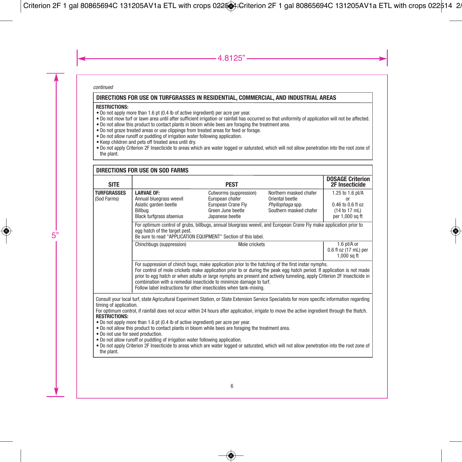6  $-4.8125"$  – **RESTRICTIONS:** • Do not apply more than 1.6 pt (0.4 lb of active ingredient) per acre per year. • Do not mow turf or lawn area until after sufficient irrigation or rainfall has occurred so that uniformity of application will not be affected. • Do not allow this product to contact plants in bloom while bees are foraging the treatment area. • Do not graze treated areas or use clippings from treated areas for feed or forage. • Do not allow runoff or puddling of irrigation water following application. • Keep children and pets off treated area until dry. • Do not apply Criterion 2F Insecticide to areas which are water logged or saturated, which will not allow penetration into the root zone of the plant. **DIRECTIONS FOR USE ON TURFGRASSES IN RESIDENTIAL, COMMERCIAL, AND INDUSTRIAL AREAS** *continued* **TURFGRASSES** (Sod Farms) **LARVAE OF:** Annual bluegrass weevil Asiatic garden beetle Billbug Black turfgrass ataenius Cutworms (suppression) European chafer European Crane Fly Green June beetle Japanese beetle Mole crickets 1.25 to 1.6 pt/A or 0.46 to 0.6 fl oz (14 to 17 mL) per 1,000 sq ft For optimum control of grubs, billbugs, annual bluegrass weevil, and European Crane Fly make application prior to egg hatch of the target pest. Be sure to read "APPLICATION EQUIPMENT" Section of this label. Chinchbugs (suppression) Mole crickets and Mole crickets and Mole crickets and Mole crickets and Mole crickets and Mole crickets and Mole crickets and Mole crickets and Mole crickets and Mole crickets and Mole crickets and 0.6 fl oz (17 mL) per  $1,000$  sq ft For suppression of chinch bugs, make application prior to the hatching of the first instar nymphs. For control of mole crickets make application prior to or during the peak egg hatch period. If application is not made prior to egg hatch or when adults or large nymphs are present and actively tunneling, apply Criterion 2F Insecticide in combination with a remedial insecticide to minimize damage to turf. Follow label instructions for other insecticides when tank-mixing. **DIRECTIONS FOR USE ON SOD FARMS PEST DOSAGE Criterion 2F Insecticide** Northern masked chafer Oriental beetle *Phyllophaga* spp. Southern masked chafer **SITE** Consult your local turf, state Agricultural Experiment Station, or State Extension Service Specialists for more specific information regarding timing of application. For optimum control, if rainfall does not occur within 24 hours after application, irrigate to move the active ingredient through the thatch. **RESTRICTIONS:** • Do not apply more than 1.6 pt (0.4 lb of active ingredient) per acre per year. • Do not allow this product to contact plants in bloom while bees are foraging the treatment area. • Do not use for seed production. • Do not allow runoff or puddling of irrigation water following application. • Do not apply Criterion 2F Insecticide to areas which are water logged or saturated, which will not allow penetration into the root zone of the plant.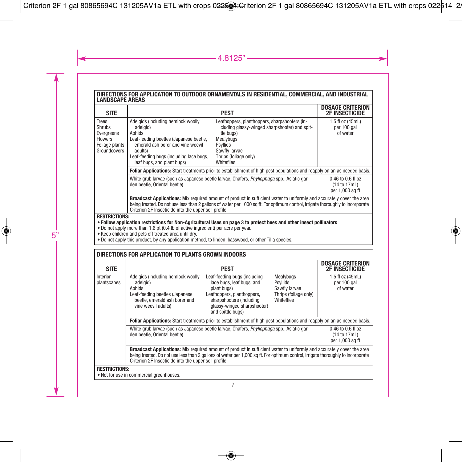$-$  4.8125" $-$ 

**DIRECTIONS FOR APPLICATION TO OUTDOOR ORNAMENTALS IN RESIDENTIAL, COMMERCIAL, AND INDUSTRIAL LANDSCAPE AREAS**

| <b>SITE</b>                                                                              |                                                                                                                                                                                                                             | <b>PEST</b>                                                                                                                                                                                                                                             | <b>DOSAGE CRITERION</b><br><b>2F INSECTICIDE</b>         |
|------------------------------------------------------------------------------------------|-----------------------------------------------------------------------------------------------------------------------------------------------------------------------------------------------------------------------------|---------------------------------------------------------------------------------------------------------------------------------------------------------------------------------------------------------------------------------------------------------|----------------------------------------------------------|
| <b>Trees</b><br>Shrubs<br>Everareens<br><b>Flowers</b><br>Foliage plants<br>Groundcovers | Adelaids (including hemlock woolly<br>adelgid)<br>Aphids<br>Leaf-feeding beetles (Japanese beetle,<br>emerald ash borer and vine weevil<br>adults)<br>Leaf-feeding bugs (including lace bugs,<br>leaf bugs, and plant bugs) | Leafhoppers, planthoppers, sharpshooters (in-<br>cluding glassy-winged sharpshooter) and spit-<br>tle bugs)<br>Mealybugs<br>Psyllids<br>Sawfly larvae<br>Thrips (foliage only)<br><b>Whiteflies</b>                                                     | 1.5 fl oz (45mL)<br>per 100 gal<br>of water              |
|                                                                                          |                                                                                                                                                                                                                             | <b>Foliar Applications:</b> Start treatments prior to establishment of high pest populations and reapply on an as needed basis.                                                                                                                         |                                                          |
|                                                                                          | den beetle. Oriental beetle)                                                                                                                                                                                                | White grub larvae (such as Japanese beetle larvae, Chafers, Phyllophaga spp., Asiatic gar-                                                                                                                                                              | $0.46$ to $0.6$ fl oz<br>(14 to 17mL)<br>per 1.000 sq ft |
|                                                                                          | Criterion 2F Insecticide into the upper soil profile.                                                                                                                                                                       | Broadcast Applications: Mix required amount of product in sufficient water to uniformly and accurately cover the area<br>being treated. Do not use less than 2 gallons of water per 1000 sq ft. For optimum control, irrigate thoroughly to incorporate |                                                          |

## **RESTRICTIONS:**

5"

• Follow application restrictions for Non-Agricultural Uses on page 3 to protect bees and other insect pollinators<br>• Do not apply more than 1.6 pt (0.4 lb of active ingredient) per acre per year.<br>• Keep children and pets o

| <b>SITE</b>             |                                                                                                                                                                                                                                                                                                                          | <b>PEST</b>                                                                                                                                                                            |                                                                               | <b>DOSAGE CRITERION</b><br><b>2F INSECTICIDE</b>         |  |  |
|-------------------------|--------------------------------------------------------------------------------------------------------------------------------------------------------------------------------------------------------------------------------------------------------------------------------------------------------------------------|----------------------------------------------------------------------------------------------------------------------------------------------------------------------------------------|-------------------------------------------------------------------------------|----------------------------------------------------------|--|--|
| Interior<br>plantscapes | Adelaids (including hemlock woolly<br>adelgid)<br>Aphids<br>Leaf-feeding beetles (Japanese<br>beetle, emerald ash borer and<br>vine weevil adults)                                                                                                                                                                       | Leaf-feeding bugs (including<br>lace bugs, leaf bugs, and<br>plant bugs)<br>Leafhoppers, planthoppers,<br>sharpshooters (including<br>glassy-winged sharpshooter)<br>and spittle bugs) | Mealybugs<br>Psyllids<br>Sawfly larvae<br>Thrips (foliage only)<br>Whiteflies | 1.5 fl oz (45mL)<br>per 100 gal<br>of water              |  |  |
|                         | Foliar Applications: Start treatments prior to establishment of high pest populations and reapply on an as needed basis.                                                                                                                                                                                                 |                                                                                                                                                                                        |                                                                               |                                                          |  |  |
|                         | White grub larvae (such as Japanese beetle larvae, Chafers, Phyllophaga spp., Asiatic gar-<br>den beetle. Oriental beetle)                                                                                                                                                                                               |                                                                                                                                                                                        |                                                                               | $0.46$ to $0.6$ fl oz<br>(14 to 17mL)<br>per 1,000 sq ft |  |  |
|                         | <b>Broadcast Applications:</b> Mix required amount of product in sufficient water to uniformly and accurately cover the area<br>being treated. Do not use less than 2 gallons of water per 1,000 sq ft. For optimum control, irrigate thoroughly to incorporate<br>Criterion 2F Insecticide into the upper soil profile. |                                                                                                                                                                                        |                                                                               |                                                          |  |  |
| <b>RESTRICTIONS:</b>    | . Not for use in commercial greenhouses.                                                                                                                                                                                                                                                                                 |                                                                                                                                                                                        |                                                                               |                                                          |  |  |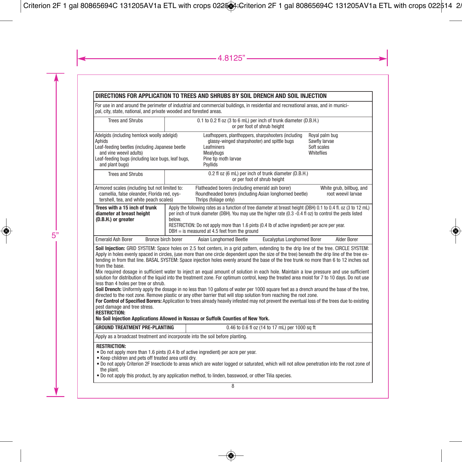<u> 1989 - Johann Barn, mars eta bainar e</u>

<u>4.8125</u>" — 4.8125

| pal, city, state, national, and private wooded and forested areas.                                                                                                                                           | DIRECTIONS FOR APPLICATION TO TREES AND SHRUBS BY SOIL DRENCH AND SOIL INJECTION<br>For use in and around the perimeter of industrial and commercial buildings, in residential and recreational areas, and in munici-                                                                                                                                                                                                                                                                                                                                                                                                                                                                                                                                                                                                                                                                                                                                                                                                                                                                                                                                                                                                                     |
|--------------------------------------------------------------------------------------------------------------------------------------------------------------------------------------------------------------|-------------------------------------------------------------------------------------------------------------------------------------------------------------------------------------------------------------------------------------------------------------------------------------------------------------------------------------------------------------------------------------------------------------------------------------------------------------------------------------------------------------------------------------------------------------------------------------------------------------------------------------------------------------------------------------------------------------------------------------------------------------------------------------------------------------------------------------------------------------------------------------------------------------------------------------------------------------------------------------------------------------------------------------------------------------------------------------------------------------------------------------------------------------------------------------------------------------------------------------------|
| <b>Trees and Shrubs</b>                                                                                                                                                                                      | 0.1 to 0.2 fl oz (3 to 6 mL) per inch of trunk diameter (D.B.H.)<br>or per foot of shrub height                                                                                                                                                                                                                                                                                                                                                                                                                                                                                                                                                                                                                                                                                                                                                                                                                                                                                                                                                                                                                                                                                                                                           |
| Adelaids (including hemlock woolly adelaid)<br>Anhids<br>Leaf-feeding beetles (including Japanese beetle<br>and vine weevil adults)<br>Leaf-feeding bugs (including lace bugs, leaf bugs,<br>and plant bugs) | Leafhoppers, planthoppers, sharpshooters (including<br>Royal palm bug<br>glassy-winged sharpshooter) and spittle bugs<br>Sawfly larvae<br>Soft scales<br><b>Leafminers</b><br>Mealybugs<br>Whiteflies<br>Pine tip moth larvae<br><b>Psyllids</b>                                                                                                                                                                                                                                                                                                                                                                                                                                                                                                                                                                                                                                                                                                                                                                                                                                                                                                                                                                                          |
| <b>Trees and Shrubs</b>                                                                                                                                                                                      | 0.2 fl oz (6 mL) per inch of trunk diameter (D.B.H.)<br>or per foot of shrub height                                                                                                                                                                                                                                                                                                                                                                                                                                                                                                                                                                                                                                                                                                                                                                                                                                                                                                                                                                                                                                                                                                                                                       |
| Armored scales (including but not limited to:<br>camellia, false oleander, Florida red, oys-<br>tershell, tea, and white peach scales)                                                                       | Flatheaded borers (including emerald ash borer)<br>White grub, billbug, and<br>Roundheaded borers (including Asian longhorned beetle)<br>root weevil larvae<br>Thrips (foliage only)                                                                                                                                                                                                                                                                                                                                                                                                                                                                                                                                                                                                                                                                                                                                                                                                                                                                                                                                                                                                                                                      |
| Trees with a 15 inch of trunk<br>diameter at breast height<br>(D.B.H.) or greater                                                                                                                            | Apply the following rates as a function of tree diameter at breast height (DBH) 0.1 to 0.4 fl. oz (3 to 12 mL)<br>per inch of trunk diameter (DBH). You may use the higher rate (0.3 -0.4 fl oz) to control the pests listed<br>below.<br>RESTRICTION: Do not apply more than 1.6 pints (0.4 lb of active ingredient) per acre per year.<br>$DBH =$ is measured at 4.5 feet from the ground                                                                                                                                                                                                                                                                                                                                                                                                                                                                                                                                                                                                                                                                                                                                                                                                                                               |
| <b>Emerald Ash Borer</b><br>Bronze birch borer                                                                                                                                                               | Asian Longhorned Beetle<br><b>Eucalvotus Longhorned Borer</b><br>Alder Borer                                                                                                                                                                                                                                                                                                                                                                                                                                                                                                                                                                                                                                                                                                                                                                                                                                                                                                                                                                                                                                                                                                                                                              |
| from the base.<br>less than 4 holes per tree or shrub.<br>pest damage and tree stress.<br><b>RESTRICTION:</b>                                                                                                | Soil Injection: GRID SYSTEM: Space holes on 2.5 foot centers, in a grid pattern, extending to the drip line of the tree, CIRCLE SYSTEM:<br>Apply in holes evenly spaced in circles, (use more than one circle dependent upon the size of the tree) beneath the drip line of the tree ex-<br>tending in from that line. BASAL SYSTEM: Space injection holes evenly around the base of the tree trunk no more than 6 to 12 inches out<br>Mix required dosage in sufficient water to inject an equal amount of solution in each hole. Maintain a low pressure and use sufficient<br>solution for distribution of the liquid into the treatment zone. For optimum control, keep the treated area moist for 7 to 10 days. Do not use<br>Soil Drench: Uniformly apply the dosage in no less than 10 gallons of water per 1000 square feet as a drench around the base of the tree,<br>directed to the root zone. Remove plastic or any other barrier that will stop solution from reaching the root zone.<br>For Control of Specified Borers: Application to trees already heavily infested may not prevent the eventual loss of the trees due to existing<br>No Soil Injection Applications Allowed in Nassau or Suffolk Counties of New York. |
| <b>GROUND TREATMENT PRE-PLANTING</b>                                                                                                                                                                         | 0.46 to 0.6 fl oz (14 to 17 mL) per 1000 sq ft                                                                                                                                                                                                                                                                                                                                                                                                                                                                                                                                                                                                                                                                                                                                                                                                                                                                                                                                                                                                                                                                                                                                                                                            |
|                                                                                                                                                                                                              | Apply as a broadcast treatment and incorporate into the soil before planting.                                                                                                                                                                                                                                                                                                                                                                                                                                                                                                                                                                                                                                                                                                                                                                                                                                                                                                                                                                                                                                                                                                                                                             |
|                                                                                                                                                                                                              |                                                                                                                                                                                                                                                                                                                                                                                                                                                                                                                                                                                                                                                                                                                                                                                                                                                                                                                                                                                                                                                                                                                                                                                                                                           |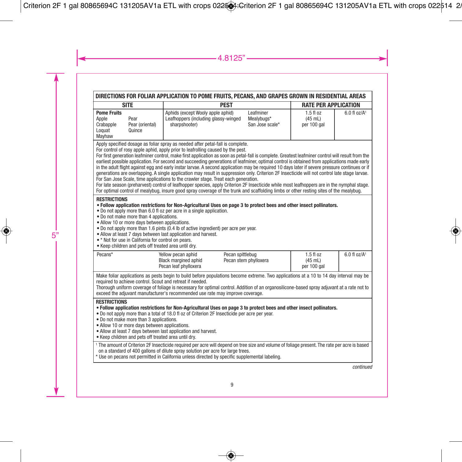4.8125"

| <b>SITE</b>                                                  |                                                                                                                                                  | <b>PEST</b>                                                                                                                                                                                                                                                                                                                                                                                                                                                                                                                                                                                                                                                                                                                                                                                                                                                                                                                                                                                                                                                                                                                                              |                  | <b>RATE PER APPLICATION</b>                |                                     |                            |
|--------------------------------------------------------------|--------------------------------------------------------------------------------------------------------------------------------------------------|----------------------------------------------------------------------------------------------------------------------------------------------------------------------------------------------------------------------------------------------------------------------------------------------------------------------------------------------------------------------------------------------------------------------------------------------------------------------------------------------------------------------------------------------------------------------------------------------------------------------------------------------------------------------------------------------------------------------------------------------------------------------------------------------------------------------------------------------------------------------------------------------------------------------------------------------------------------------------------------------------------------------------------------------------------------------------------------------------------------------------------------------------------|------------------|--------------------------------------------|-------------------------------------|----------------------------|
| <b>Pome Fruits</b><br>Apple<br>Crabapple<br>Loquat<br>Mayhaw | Pear<br>Pear (oriental)<br>Quince                                                                                                                | Aphids (except Wooly apple aphid)<br>Leafhoppers (including glassy-winged<br>sharpshooter)                                                                                                                                                                                                                                                                                                                                                                                                                                                                                                                                                                                                                                                                                                                                                                                                                                                                                                                                                                                                                                                               |                  | Leafminer<br>Mealybugs*<br>San Jose scale* | 1.5f1oz<br>$(45$ mL)<br>per 100 gal | $6.0$ fl $oz/A1$           |
|                                                              |                                                                                                                                                  | Apply specified dosage as foliar spray as needed after petal-fall is complete.<br>For control of rosy apple aphid, apply prior to leafrolling caused by the pest.<br>For first generation leafminer control, make first application as soon as petal-fall is complete. Greatest leafminer control will result from the<br>earliest possible application. For second and succeeding generations of leafminer, optimal control is obtained from applications made early<br>in the adult flight against egg and early instar larvae. A second application may be required 10 days later if severe pressure continues or if<br>generations are overlapping. A single application may result in suppression only. Criterion 2F Insecticide will not control late stage larvae.<br>For San Jose Scale, time applications to the crawler stage. Treat each generation.<br>For late season (preharvest) control of leafhopper species, apply Criterion 2F Insecticide while most leafhoppers are in the nymphal stage.<br>For optimal control of mealybug, insure good spray coverage of the trunk and scaffolding limbs or other resting sites of the mealybug. |                  |                                            |                                     |                            |
| Pecans*                                                      | • * Not for use in California for control on pears.<br>. Keep children and pets off treated area until drv.                                      | . Do not apply more than 1.6 pints (0.4 lb of active ingredient) per acre per year.<br>• Allow at least 7 days between last application and harvest.<br>Yellow pecan aphid<br><b>Black margined aphid</b>                                                                                                                                                                                                                                                                                                                                                                                                                                                                                                                                                                                                                                                                                                                                                                                                                                                                                                                                                | Pecan spittlebug | Pecan stem phylloxera                      | $1.5f$ l $oz$<br>$(45$ mL)          | $6.0$ fl oz/A <sup>1</sup> |
|                                                              |                                                                                                                                                  | Pecan leaf phylloxera                                                                                                                                                                                                                                                                                                                                                                                                                                                                                                                                                                                                                                                                                                                                                                                                                                                                                                                                                                                                                                                                                                                                    |                  |                                            | per 100 gal                         |                            |
|                                                              |                                                                                                                                                  |                                                                                                                                                                                                                                                                                                                                                                                                                                                                                                                                                                                                                                                                                                                                                                                                                                                                                                                                                                                                                                                                                                                                                          |                  |                                            |                                     |                            |
|                                                              |                                                                                                                                                  | Make foliar applications as pests begin to build before populations become extreme. Two applications at a 10 to 14 day interval may be<br>required to achieve control. Scout and retreat if needed.<br>Thorough uniform coverage of foliage is necessary for optimal control. Addition of an organosilicone-based spray adjuvant at a rate not to<br>exceed the adjuvant manufacturer's recommended use rate may improve coverage.                                                                                                                                                                                                                                                                                                                                                                                                                                                                                                                                                                                                                                                                                                                       |                  |                                            |                                     |                            |
| <b>RESTRICTIONS</b>                                          | • Do not make more than 3 applications.<br>• Allow 10 or more days between applications.<br>• Keep children and pets off treated area until dry. | • Follow application restrictions for Non-Agricultural Uses on page 3 to protect bees and other insect pollinators.<br>. Do not apply more than a total of 18.0 fl oz of Criterion 2F Insecticide per acre per year.<br>• Allow at least 7 days between last application and harvest.                                                                                                                                                                                                                                                                                                                                                                                                                                                                                                                                                                                                                                                                                                                                                                                                                                                                    |                  |                                            |                                     |                            |

5"

9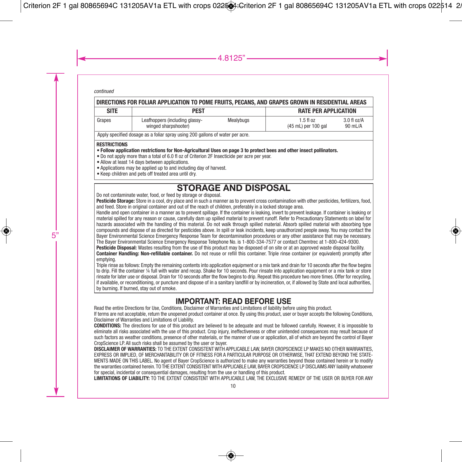$-4.8125"$ 

*continued* **DIRECTIONS FOR FOLIAR APPLICATION TO POME FRUITS, PECANS, AND GRAPES GROWN IN RESIDENTIAL AREAS SITE PEST RATE PER APPLICATION** Grapes Leafhoppers (including glassywinged sharpshooter) Mealybugs 1.5 fl oz (45 mL) per 100 gal 3.0 fl oz/A 90 mL/A Apply specified dosage as a foliar spray using 200 gallons of water per acre. **RESTRICTIONS** . Follow application restrictions for Non-Agricultural Uses on page 3 to protect bees and other insect pollinators. • Do not apply more than a total of 6.0 fl oz of Criterion 2F Insecticide per acre per year. • Allow at least 14 days between applications. • Applications may be applied up to and including day of harvest. • Keep children and pets off treated area until dry. **STORAGE AND DISPOSAL** Do not contaminate water, food, or feed by storage or disposal. **Pesticide Storage:** Store in a cool, dry place and in such a manner as to prevent cross contamination with other pesticides, fertilizers, food, and feed. Store in original container and out of the reach of children, preferably in a locked storage area. Handle and open container in a manner as to prevent spillage. If the container is leaking, invert to prevent leakage. If container is leaking or material spilled for any reason or cause, carefully dam up spilled material to prevent runoff. Refer to Precautionary Statements on label for hazards associated with the handling of this material. Do not walk through spilled material. Absorb spilled material with absorbing type compounds and dispose of as directed for pesticides above. In spill or leak incidents, keep unauthorized people away. You may contact the Bayer Environmental Science Emergency Response Team for decontamination procedures or any other assistance that may be necessary. The Bayer Environmental Science Emergency Response Telephone No. is 1-800-334-7577 or contact Chemtrec at 1-800-424-9300. **Pesticide Disposal:** Wastes resulting from the use of this product may be disposed of on site or at an approved waste disposal facility. **Container Handling: Non-refillable container.** Do not reuse or refill this container. Triple rinse container (or equivalent) promptly after emptying. Triple rinse as follows: Empty the remaining contents into application equipment or a mix tank and drain for 10 seconds after the flow begins to drip. Fill the container ¼ full with water and recap. Shake for 10 seconds. Pour rinsate into application equipment or a mix tank or store rinsate for later use or disposal. Drain for 10 seconds after the flow begins to drip. Repeat this procedure two more times. Offer for recycling, if available, or reconditioning, or puncture and dispose of in a sanitary landfill or by incineration, or, if allowed by State and local authorities, by burning. If burned, stay out of smoke. **IMPORTANT: READ BEFORE USE** Read the entire Directions for Use, Conditions, Disclaimer of Warranties and Limitations of liability before using this product. If terms are not acceptable, return the unopened product container at once. By using this product, user or buyer accepts the following Conditions, Disclaimer of Warranties and Limitations of Liability. **CONDITIONS:** The directions for use of this product are believed to be adequate and must be followed carefully. However, it is impossible to eliminate all risks associated with the use of this product. Crop injury, ineffectiveness or other unintended consequences may result because of such factors as weather conditions, presence of other materials, or the manner of use or application, all of which are beyond the control of Bayer CropScience LP. All such risks shall be assumed by the user or buyer. **DISCLAIMER OF WARRANTIES:** TO THE EXTENT CONSISTENT WITH APPLICABLE LAW, BAYER CROPSCIENCE LP MAKES NO OTHER WARRANTIES, EXPRESS OR IMPLIED, OF MERCHANTABILITY OR OF FITNESS FOR A PARTICULAR PURPOSE OR OTHERWISE, THAT EXTEND BEYOND THE STATE-MENTS MADE ON THIS LABEL. No agent of Bayer CropScience is authorized to make any warranties beyond those contained herein or to modify the warranties contained herein. TO THE EXTENT CONSISTENT WITH APPLICABLE LAW, BAYER CROPSCIENCE LP DISCLAIMS ANY liability whatsoever for special, incidental or consequential damages, resulting from the use or handling of this product. **LIMITATIONS OF LIABILITY:** TO THE EXTENT CONSISTENT WITH APPLICABLE LAW, THE EXCLUSIVE REMEDY OF THE USER OR BUYER FOR ANY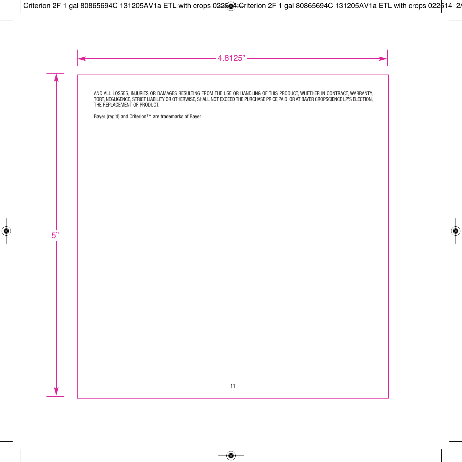5"  $- 4.8125$ " AND ALL LOSSES, INJURIES OR DAMAGES RESULTING FROM THE USE OR HANDLING OF THIS PRODUCT, WHETHER IN CONTRACT, WARRANTY, TORT, NEGLIGENCE, STRICT LIABILITY OR OTHERWISE, SHALL NOT EXCEED THE PURCHASE PRICE PAID, OR AT BAYER CROPSCIENCE LP'S ELECTION, THE REPLACEMENT OF PRODUCT. Bayer (reg'd) and Criterion™ are trademarks of Bayer.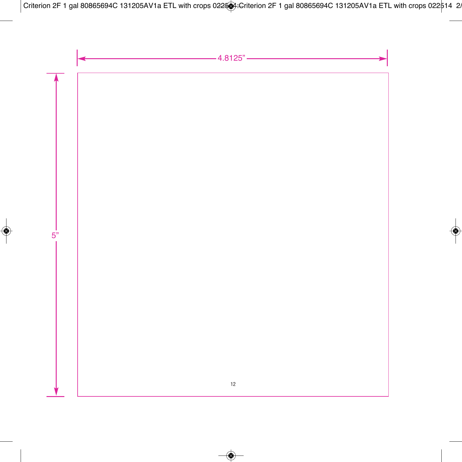